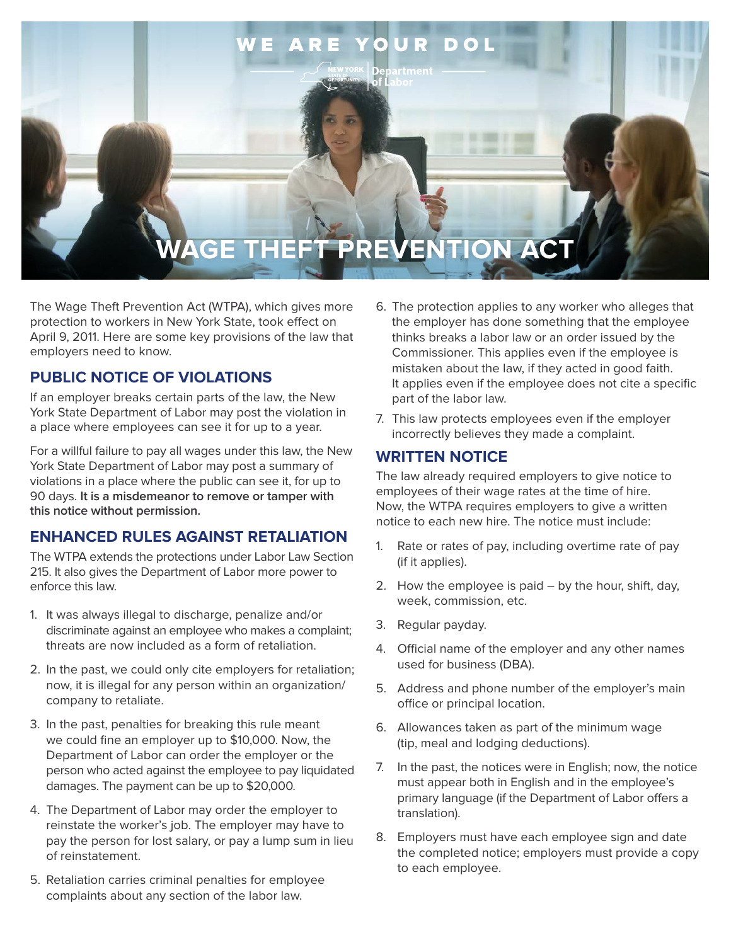

The Wage Theft Prevention Act (WTPA), which gives more protection to workers in New York State, took effect on April 9, 2011. Here are some key provisions of the law that employers need to know.

## **PUBLIC NOTICE OF VIOLATIONS**

If an employer breaks certain parts of the law, the New York State Department of Labor may post the violation in a place where employees can see it for up to a year.

For a willful failure to pay all wages under this law, the New York State Department of Labor may post a summary of violations in a place where the public can see it, for up to 90 days. **It is a misdemeanor to remove or tamper with this notice without permission.**

# **ENHANCED RULES AGAINST RETALIATION**

The WTPA extends the protections under Labor Law Section 215. It also gives the Department of Labor more power to enforce this law.

- 1. It was always illegal to discharge, penalize and/or discriminate against an employee who makes a complaint; threats are now included as a form of retaliation.
- 2. In the past, we could only cite employers for retaliation; now, it is illegal for any person within an organization/ company to retaliate.
- 3. In the past, penalties for breaking this rule meant we could fine an employer up to \$10,000. Now, the Department of Labor can order the employer or the person who acted against the employee to pay liquidated damages. The payment can be up to \$20,000.
- 4. The Department of Labor may order the employer to reinstate the worker's job. The employer may have to pay the person for lost salary, or pay a lump sum in lieu of reinstatement.
- 5. Retaliation carries criminal penalties for employee complaints about any section of the labor law.
- 6. The protection applies to any worker who alleges that the employer has done something that the employee thinks breaks a labor law or an order issued by the Commissioner. This applies even if the employee is mistaken about the law, if they acted in good faith. It applies even if the employee does not cite a specific part of the labor law.
- 7. This law protects employees even if the employer incorrectly believes they made a complaint.

#### **WRITTEN NOTICE**

The law already required employers to give notice to employees of their wage rates at the time of hire. Now, the WTPA requires employers to give a written notice to each new hire. The notice must include:

- 1. Rate or rates of pay, including overtime rate of pay (if it applies).
- 2. How the employee is paid by the hour, shift, day, week, commission, etc.
- 3. Regular payday.
- 4. Official name of the employer and any other names used for business (DBA).
- 5. Address and phone number of the employer's main office or principal location.
- 6. Allowances taken as part of the minimum wage (tip, meal and lodging deductions).
- 7. In the past, the notices were in English; now, the notice must appear both in English and in the employee's primary language (if the Department of Labor offers a translation).
- 8. Employers must have each employee sign and date the completed notice; employers must provide a copy to each employee.